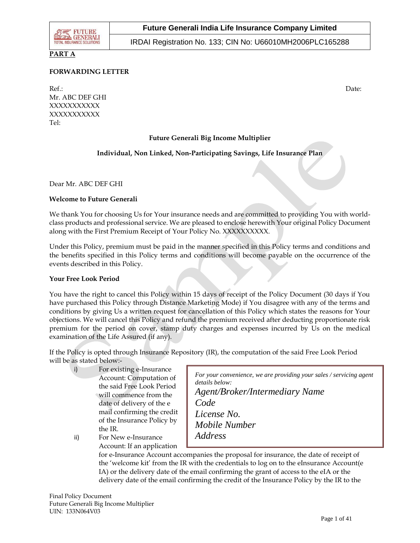

# **PART A**

### **FORWARDING LETTER**

Ref.: Date: Description of the contract of the contract of the contract of the contract of the contract of the contract of the contract of the contract of the contract of the contract of the contract of the contract of the Mr. ABC DEF GHI XXXXXXXXXXX XXXXXXXXXXX Tel:

### **Future Generali Big Income Multiplier**

### **Individual, Non Linked, Non-Participating Savings, Life Insurance Plan**

Dear Mr. ABC DEF GHI

#### **Welcome to Future Generali**

We thank You for choosing Us for Your insurance needs and are committed to providing You with worldclass products and professional service. We are pleased to enclose herewith Your original Policy Document along with the First Premium Receipt of Your Policy No. XXXXXXXXXX.

Under this Policy, premium must be paid in the manner specified in this Policy terms and conditions and the benefits specified in this Policy terms and conditions will become payable on the occurrence of the events described in this Policy.

#### **Your Free Look Period**

You have the right to cancel this Policy within 15 days of receipt of the Policy Document (30 days if You have purchased this Policy through Distance Marketing Mode) if You disagree with any of the terms and conditions by giving Us a written request for cancellation of this Policy which states the reasons for Your objections. We will cancel this Policy and refund the premium received after deducting proportionate risk premium for the period on cover, stamp duty charges and expenses incurred by Us on the medical examination of the Life Assured (if any).

If the Policy is opted through Insurance Repository (IR), the computation of the said Free Look Period will be as stated below:-

i) For existing e-Insurance Account: Computation of the said Free Look Period will commence from the date of delivery of the e mail confirming the credit of the Insurance Policy by the IR.

ii) For New e-Insurance Account: If an application

*For your convenience, we are providing your sales / servicing agent details below: Agent/Broker/Intermediary Name Code License No. Mobile Number Address*

for e-Insurance Account accompanies the proposal for insurance, the date of receipt of the *insurance* Account ( the 'welcome kit' from the IR with the credentials to log on to the eInsurance Account(e IA) or the delivery date of the email confirming the grant of access to the eIA or the delivery date of the email confirming the credit of the Insurance Policy by the IR to the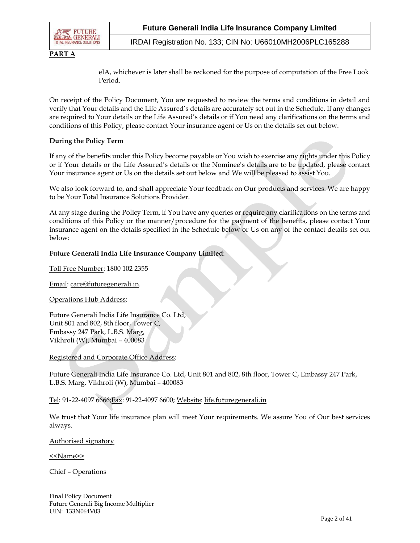

**PART A**

IRDAI Registration No. 133; CIN No: U66010MH2006PLC165288

eIA, whichever is later shall be reckoned for the purpose of computation of the Free Look Period.

On receipt of the Policy Document, You are requested to review the terms and conditions in detail and verify that Your details and the Life Assured's details are accurately set out in the Schedule. If any changes are required to Your details or the Life Assured's details or if You need any clarifications on the terms and conditions of this Policy, please contact Your insurance agent or Us on the details set out below.

#### **During the Policy Term**

If any of the benefits under this Policy become payable or You wish to exercise any rights under this Policy or if Your details or the Life Assured's details or the Nominee's details are to be updated, please contact Your insurance agent or Us on the details set out below and We will be pleased to assist You.

We also look forward to, and shall appreciate Your feedback on Our products and services. We are happy to be Your Total Insurance Solutions Provider.

At any stage during the Policy Term, if You have any queries or require any clarifications on the terms and conditions of this Policy or the manner/procedure for the payment of the benefits, please contact Your insurance agent on the details specified in the Schedule below or Us on any of the contact details set out below:

#### **Future Generali India Life Insurance Company Limited**:

Toll Free Number: 1800 102 2355

Email: [care@futuregenerali.in.](mailto:care@futuregenerali.in)

Operations Hub Address:

Future Generali India Life Insurance Co. Ltd, Unit 801 and 802, 8th floor, Tower C, Embassy 247 Park, L.B.S. Marg, Vikhroli (W), Mumbai – 400083

Registered and Corporate Office Address:

Future Generali India Life Insurance Co. Ltd, Unit 801 and 802, 8th floor, Tower C, Embassy 247 Park, L.B.S. Marg, Vikhroli (W), Mumbai – 400083

Tel: 91-22-4097 6666;Fax: 91-22-4097 6600; Website: [life.futuregenerali.in](http://www.futuregenerali.in/)

We trust that Your life insurance plan will meet Your requirements. We assure You of Our best services always.

Authorised signatory

<<Name>>

Chief – Operations

Final Policy Document Future Generali Big Income Multiplier UIN: 133N064V03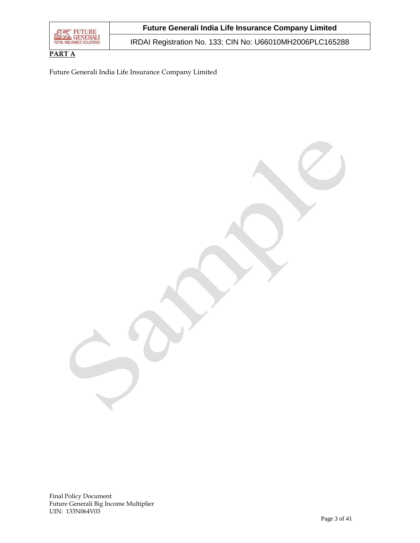

**PART A**

IRDAI Registration No. 133; CIN No: U66010MH2006PLC165288

Future Generali India Life Insurance Company Limited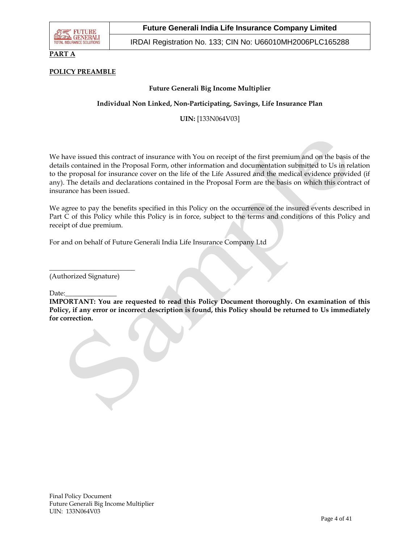

### **PART A**

### **POLICY PREAMBLE**

### **Future Generali Big Income Multiplier**

### **Individual Non Linked, Non-Participating, Savings, Life Insurance Plan**

**UIN:** [133N064V03]

We have issued this contract of insurance with You on receipt of the first premium and on the basis of the details contained in the Proposal Form, other information and documentation submitted to Us in relation to the proposal for insurance cover on the life of the Life Assured and the medical evidence provided (if any). The details and declarations contained in the Proposal Form are the basis on which this contract of insurance has been issued.

We agree to pay the benefits specified in this Policy on the occurrence of the insured events described in Part C of this Policy while this Policy is in force, subject to the terms and conditions of this Policy and receipt of due premium.

For and on behalf of Future Generali India Life Insurance Company Ltd

(Authorized Signature)

\_\_\_\_\_\_\_\_\_\_\_\_\_\_\_\_\_\_\_\_\_\_\_\_\_

Date:

**IMPORTANT: You are requested to read this Policy Document thoroughly. On examination of this Policy, if any error or incorrect description is found, this Policy should be returned to Us immediately for correction.**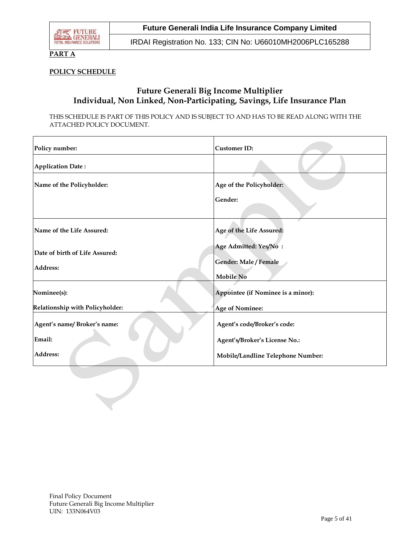

### **PART A**

### **POLICY SCHEDULE**

# **Future Generali Big Income Multiplier Individual, Non Linked, Non-Participating, Savings, Life Insurance Plan**

THIS SCHEDULE IS PART OF THIS POLICY AND IS SUBJECT TO AND HAS TO BE READ ALONG WITH THE ATTACHED POLICY DOCUMENT.

| Policy number:                             | <b>Customer ID:</b>                                                |
|--------------------------------------------|--------------------------------------------------------------------|
| <b>Application Date:</b>                   |                                                                    |
| Name of the Policyholder:                  | Age of the Policyholder:<br>Gender:                                |
| Name of the Life Assured:                  | Age of the Life Assured:                                           |
| Date of birth of Life Assured:<br>Address: | Age Admitted: Yes/No:<br>Gender: Male / Female<br><b>Mobile No</b> |
| Nominee(s):                                | Appointee (if Nominee is a minor):                                 |
| Relationship with Policyholder:            | <b>Age of Nominee:</b>                                             |
| Agent's name/Broker's name:<br>Email:      | Agent's code/Broker's code:<br>Agent's/Broker's License No.:       |
| Address:                                   | Mobile/Landline Telephone Number:                                  |
|                                            |                                                                    |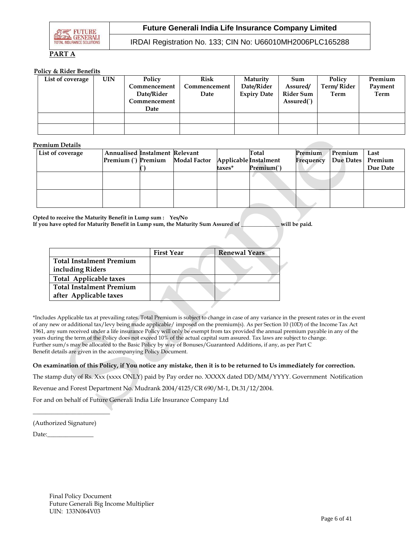

IRDAI Registration No. 133; CIN No: U66010MH2006PLC165288

# **PART A**

#### **Policy & Rider Benefits**

| List of coverage | UIN | Policy       | Risk         | Maturity           | Sum              | Policy     | Premium |
|------------------|-----|--------------|--------------|--------------------|------------------|------------|---------|
|                  |     | Commencement | Commencement | Date/Rider         | Assured/         | Term/Rider | Payment |
|                  |     | Date/Rider   | Date         | <b>Expiry Date</b> | <b>Rider Sum</b> | Term       | Term    |
|                  |     | Commencement |              |                    | Assured()        |            |         |
|                  |     | Date         |              |                    |                  |            |         |
|                  |     |              |              |                    |                  |            |         |
|                  |     |              |              |                    |                  |            |         |
|                  |     |              |              |                    |                  |            |         |

#### **Premium Details**

| List of coverage | <b>Annualised Instalment Relevant</b> | Premium (`) Premium Modal Factor Applicable Instalment |        | Total      | Premium<br>Frequency | Premium<br>Due Dates Premium | Last     |
|------------------|---------------------------------------|--------------------------------------------------------|--------|------------|----------------------|------------------------------|----------|
|                  |                                       |                                                        | taxes* | Premium(`) |                      |                              | Due Date |
|                  |                                       |                                                        |        |            |                      |                              |          |
|                  |                                       |                                                        |        |            |                      |                              |          |
|                  |                                       |                                                        |        |            |                      |                              |          |
|                  |                                       |                                                        |        |            |                      |                              |          |

**Opted to receive the Maturity Benefit in Lump sum : Yes/No If you have opted for Maturity Benefit in Lump sum, the Maturity Sum Assured of \_\_\_\_\_\_\_\_\_\_\_\_\_\_ will be paid.**

|                                 | <b>First Year</b> | <b>Renewal Years</b> |
|---------------------------------|-------------------|----------------------|
| <b>Total Instalment Premium</b> |                   |                      |
| including Riders                |                   |                      |
| <b>Total Applicable taxes</b>   |                   |                      |
| <b>Total Instalment Premium</b> |                   |                      |
| after Applicable taxes          |                   |                      |
|                                 |                   |                      |

\*Includes Applicable tax at prevailing rates. Total Premium is subject to change in case of any variance in the present rates or in the event of any new or additional tax/levy being made applicable/ imposed on the premium(s). As per Section 10 (10D) of the Income Tax Act 1961, any sum received under a life insurance Policy will only be exempt from tax provided the annual premium payable in any of the years during the term of the Policy does not exceed 10% of the actual capital sum assured. Tax laws are subject to change. Further sum/s may be allocated to the Basic Policy by way of Bonuses/Guaranteed Additions, if any, as per Part C Benefit details are given in the accompanying Policy Document.

#### **On examination of this Policy, if You notice any mistake, then it is to be returned to Us immediately for correction.**

The stamp duty of Rs. Xxx (xxxx ONLY) paid by Pay order no. XXXXX dated DD/MM/YYYY. Government Notification

Revenue and Forest Department No. Mudrank 2004/4125/CR 690/M-1, Dt.31/12/2004.

For and on behalf of Future Generali India Life Insurance Company Ltd

(Authorized Signature)

 $\overline{\phantom{a}}$  , we can assume that the contract of  $\overline{\phantom{a}}$ 

Date: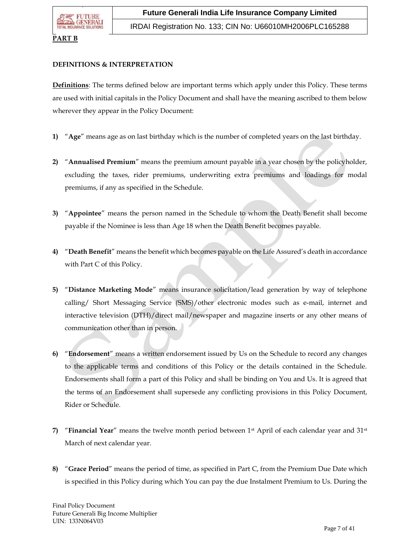### **PART B**

### **DEFINITIONS & INTERPRETATION**

**Definitions**: The terms defined below are important terms which apply under this Policy. These terms are used with initial capitals in the Policy Document and shall have the meaning ascribed to them below wherever they appear in the Policy Document:

- **1)** "**Age**" means age as on last birthday which is the number of completed years on the last birthday.
- **2)** "**Annualised Premium**" means the premium amount payable in a year chosen by the policyholder, excluding the taxes, rider premiums, underwriting extra premiums and loadings for modal premiums, if any as specified in the Schedule.
- **3)** "**Appointee**" means the person named in the Schedule to whom the Death Benefit shall become payable if the Nominee is less than Age 18 when the Death Benefit becomes payable.
- **4)** "**Death Benefit**" means the benefit which becomes payable on the Life Assured's death in accordance with Part C of this Policy.
- **5)** "**Distance Marketing Mode**" means insurance solicitation/lead generation by way of telephone calling/ Short Messaging Service (SMS)/other electronic modes such as e-mail, internet and interactive television (DTH)/direct mail/newspaper and magazine inserts or any other means of communication other than in person.
- **6)** "**Endorsement**" means a written endorsement issued by Us on the Schedule to record any changes to the applicable terms and conditions of this Policy or the details contained in the Schedule. Endorsements shall form a part of this Policy and shall be binding on You and Us. It is agreed that the terms of an Endorsement shall supersede any conflicting provisions in this Policy Document, Rider or Schedule.
- **7)** "**Financial Year**" means the twelve month period between 1st April of each calendar year and 31st March of next calendar year.
- **8)** "**Grace Period**" means the period of time, as specified in Part C, from the Premium Due Date which is specified in this Policy during which You can pay the due Instalment Premium to Us. During the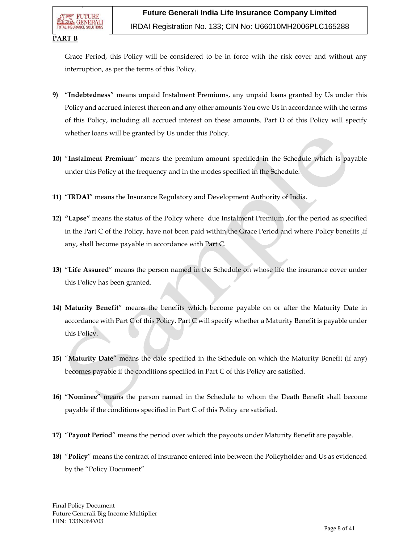### IRDAI Registration No. 133; CIN No: U66010MH2006PLC165288

### **PART B**

Grace Period, this Policy will be considered to be in force with the risk cover and without any interruption, as per the terms of this Policy.

- **9)** "**Indebtedness**" means unpaid Instalment Premiums, any unpaid loans granted by Us under this Policy and accrued interest thereon and any other amounts You owe Us in accordance with the terms of this Policy, including all accrued interest on these amounts. Part D of this Policy will specify whether loans will be granted by Us under this Policy.
- **10)** "**Instalment Premium**" means the premium amount specified in the Schedule which is payable under this Policy at the frequency and in the modes specified in the Schedule.
- **11)** "**IRDAI**" means the Insurance Regulatory and Development Authority of India.
- **12) "Lapse"** means the status of the Policy where due Instalment Premium ,for the period as specified in the Part C of the Policy, have not been paid within the Grace Period and where Policy benefits ,if any, shall become payable in accordance with Part C.
- **13)** "**Life Assured**" means the person named in the Schedule on whose life the insurance cover under this Policy has been granted.
- **14) Maturity Benefit**" means the benefits which become payable on or after the Maturity Date in accordance with Part C of this Policy. Part C will specify whether a Maturity Benefit is payable under this Policy.
- **15)** "**Maturity Date**" means the date specified in the Schedule on which the Maturity Benefit (if any) becomes payable if the conditions specified in Part C of this Policy are satisfied.
- **16)** "**Nominee**" means the person named in the Schedule to whom the Death Benefit shall become payable if the conditions specified in Part C of this Policy are satisfied.
- **17)** "**Payout Period**" means the period over which the payouts under Maturity Benefit are payable.
- **18)** "**Policy**" means the contract of insurance entered into between the Policyholder and Us as evidenced by the "Policy Document"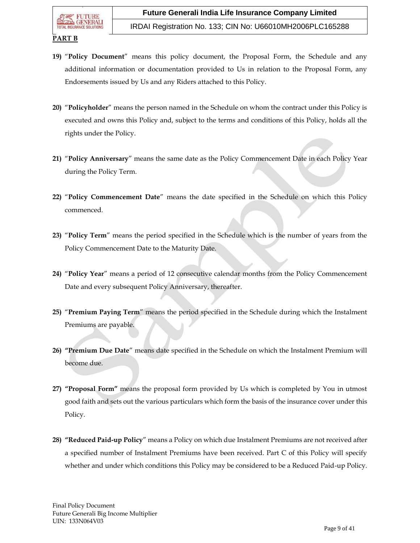IRDAI Registration No. 133; CIN No: U66010MH2006PLC165288

### **PART B**

- **19)** "**Policy Document**" means this policy document, the Proposal Form, the Schedule and any additional information or documentation provided to Us in relation to the Proposal Form, any Endorsements issued by Us and any Riders attached to this Policy.
- **20)** "**Policyholder**" means the person named in the Schedule on whom the contract under this Policy is executed and owns this Policy and, subject to the terms and conditions of this Policy, holds all the rights under the Policy.
- **21)** "**Policy Anniversary**" means the same date as the Policy Commencement Date in each Policy Year during the Policy Term.
- **22)** "**Policy Commencement Date**" means the date specified in the Schedule on which this Policy commenced.
- **23)** "**Policy Term**" means the period specified in the Schedule which is the number of years from the Policy Commencement Date to the Maturity Date.
- **24)** "**Policy Year**" means a period of 12 consecutive calendar months from the Policy Commencement Date and every subsequent Policy Anniversary, thereafter.
- **25)** "**Premium Paying Term**" means the period specified in the Schedule during which the Instalment Premiums are payable.
- **26) "Premium Due Date**" means date specified in the Schedule on which the Instalment Premium will become due.
- **27) "Proposal Form"** means the proposal form provided by Us which is completed by You in utmost good faith and sets out the various particulars which form the basis of the insurance cover under this Policy.
- **28) "Reduced Paid-up Policy**" means a Policy on which due Instalment Premiums are not received after a specified number of Instalment Premiums have been received. Part C of this Policy will specify whether and under which conditions this Policy may be considered to be a Reduced Paid-up Policy.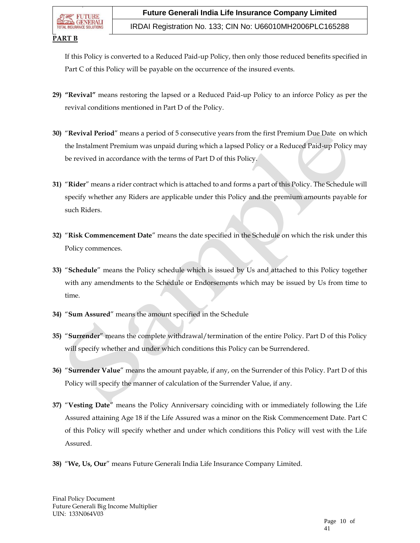### **PART B**

If this Policy is converted to a Reduced Paid-up Policy, then only those reduced benefits specified in Part C of this Policy will be payable on the occurrence of the insured events.

- **29) "Revival"** means restoring the lapsed or a Reduced Paid-up Policy to an inforce Policy as per the revival conditions mentioned in Part D of the Policy.
- **30)** "**Revival Period**" means a period of 5 consecutive years from the first Premium Due Date on which the Instalment Premium was unpaid during which a lapsed Policy or a Reduced Paid-up Policy may be revived in accordance with the terms of Part D of this Policy.
- **31)** "**Rider**" means a rider contract which is attached to and forms a part of this Policy. The Schedule will specify whether any Riders are applicable under this Policy and the premium amounts payable for such Riders.
- **32)** "**Risk Commencement Date**" means the date specified in the Schedule on which the risk under this Policy commences.
- **33)** "**Schedule**" means the Policy schedule which is issued by Us and attached to this Policy together with any amendments to the Schedule or Endorsements which may be issued by Us from time to time.
- **34)** "**Sum Assured**" means the amount specified in the Schedule
- **35)** "**Surrender**" means the complete withdrawal/termination of the entire Policy. Part D of this Policy will specify whether and under which conditions this Policy can be Surrendered.
- **36)** "**Surrender Value**" means the amount payable, if any, on the Surrender of this Policy. Part D of this Policy will specify the manner of calculation of the Surrender Value, if any.
- **37)** "**Vesting Date**" means the Policy Anniversary coinciding with or immediately following the Life Assured attaining Age 18 if the Life Assured was a minor on the Risk Commencement Date. Part C of this Policy will specify whether and under which conditions this Policy will vest with the Life Assured.
- **38)** "**We, Us, Our**" means Future Generali India Life Insurance Company Limited.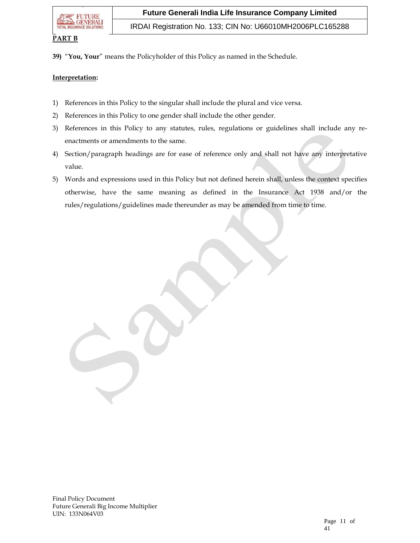

IRDAI Registration No. 133; CIN No: U66010MH2006PLC165288

#### **PART B**

**39)** "**You, Your**" means the Policyholder of this Policy as named in the Schedule.

#### **Interpretation:**

- 1) References in this Policy to the singular shall include the plural and vice versa.
- 2) References in this Policy to one gender shall include the other gender.
- 3) References in this Policy to any statutes, rules, regulations or guidelines shall include any reenactments or amendments to the same.
- 4) Section/paragraph headings are for ease of reference only and shall not have any interpretative value.
- 5) Words and expressions used in this Policy but not defined herein shall, unless the context specifies otherwise, have the same meaning as defined in the Insurance Act 1938 and/or the rules/regulations/guidelines made thereunder as may be amended from time to time.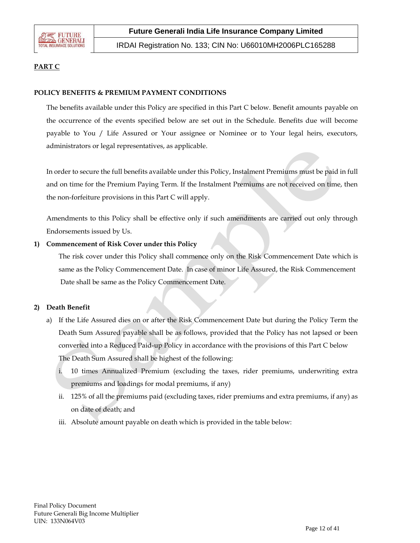

IRDAI Registration No. 133; CIN No: U66010MH2006PLC165288

## **PART C**

### **POLICY BENEFITS & PREMIUM PAYMENT CONDITIONS**

The benefits available under this Policy are specified in this Part C below. Benefit amounts payable on the occurrence of the events specified below are set out in the Schedule. Benefits due will become payable to You / Life Assured or Your assignee or Nominee or to Your legal heirs, executors, administrators or legal representatives, as applicable.

In order to secure the full benefits available under this Policy, Instalment Premiums must be paid in full and on time for the Premium Paying Term. If the Instalment Premiums are not received on time, then the non-forfeiture provisions in this Part C will apply.

Amendments to this Policy shall be effective only if such amendments are carried out only through Endorsements issued by Us.

#### **1) Commencement of Risk Cover under this Policy**

The risk cover under this Policy shall commence only on the Risk Commencement Date which is same as the Policy Commencement Date. In case of minor Life Assured, the Risk Commencement Date shall be same as the Policy Commencement Date.

#### **2) Death Benefit**

- a) If the Life Assured dies on or after the Risk Commencement Date but during the Policy Term the Death Sum Assured payable shall be as follows, provided that the Policy has not lapsed or been converted into a Reduced Paid-up Policy in accordance with the provisions of this Part C below The Death Sum Assured shall be highest of the following:
	- i. 10 times Annualized Premium (excluding the taxes, rider premiums, underwriting extra premiums and loadings for modal premiums, if any)
	- ii. 125% of all the premiums paid (excluding taxes, rider premiums and extra premiums, if any) as on date of death; and
	- iii. Absolute amount payable on death which is provided in the table below: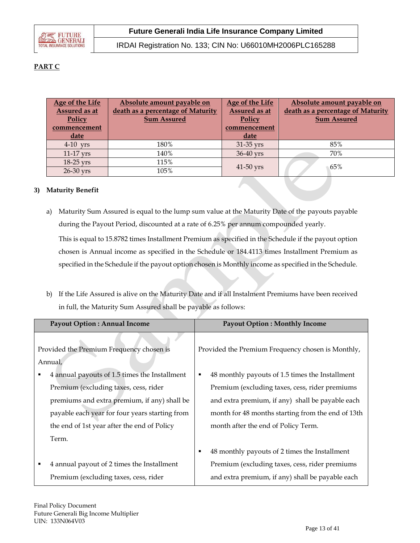

IRDAI Registration No. 133; CIN No: U66010MH2006PLC165288

# **PART C**

| Age of the Life<br>Assured as at<br>Policy | Absolute amount payable on<br>death as a percentage of Maturity<br><b>Sum Assured</b> | Age of the Life<br>Assured as at<br>Policy | Absolute amount payable on<br>death as a percentage of Maturity<br><b>Sum Assured</b> |
|--------------------------------------------|---------------------------------------------------------------------------------------|--------------------------------------------|---------------------------------------------------------------------------------------|
| commencement                               |                                                                                       | commencement                               |                                                                                       |
| date                                       |                                                                                       | date                                       |                                                                                       |
| $4-10$ yrs                                 | 180%                                                                                  | 31-35 yrs                                  | 85%                                                                                   |
| 11-17 yrs                                  | 140%                                                                                  | 36-40 vrs                                  | 70%                                                                                   |
| 18-25 yrs                                  | 115%                                                                                  |                                            |                                                                                       |
| 26-30 yrs                                  | 105%                                                                                  | 41-50 yrs                                  | 65%                                                                                   |

### **3) Maturity Benefit**

- a) Maturity Sum Assured is equal to the lump sum value at the Maturity Date of the payouts payable during the Payout Period, discounted at a rate of 6.25% per annum compounded yearly. This is equal to 15.8782 times Installment Premium as specified in the Schedule if the payout option chosen is Annual income as specified in the Schedule or 184.4113 times Installment Premium as specified in the Schedule if the payout option chosen is Monthly income as specified in the Schedule.
- b) If the Life Assured is alive on the Maturity Date and if all Instalment Premiums have been received in full, the Maturity Sum Assured shall be payable as follows:

| <b>Payout Option: Annual Income</b>                 | <b>Payout Option: Monthly Income</b>                 |
|-----------------------------------------------------|------------------------------------------------------|
| Provided the Premium Frequency chosen is<br>Annual, | Provided the Premium Frequency chosen is Monthly,    |
| 4 annual payouts of 1.5 times the Installment<br>٠  | 48 monthly payouts of 1.5 times the Installment<br>п |
| Premium (excluding taxes, cess, rider               | Premium (excluding taxes, cess, rider premiums       |
| premiums and extra premium, if any) shall be        | and extra premium, if any) shall be payable each     |
| payable each year for four years starting from      | month for 48 months starting from the end of 13th    |
| the end of 1st year after the end of Policy         | month after the end of Policy Term.                  |
| Term.                                               |                                                      |
|                                                     | 48 monthly payouts of 2 times the Installment<br>٠   |
| 4 annual payout of 2 times the Installment<br>٠     | Premium (excluding taxes, cess, rider premiums       |
| Premium (excluding taxes, cess, rider               | and extra premium, if any) shall be payable each     |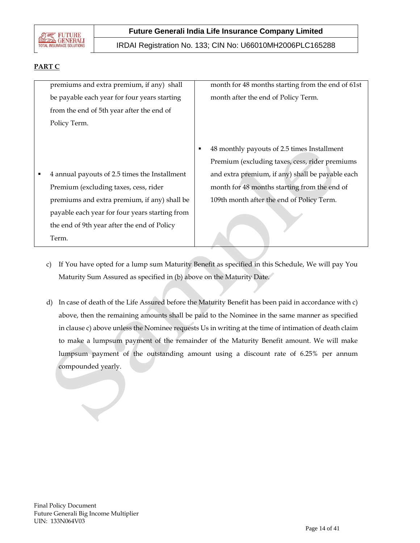

IRDAI Registration No. 133; CIN No: U66010MH2006PLC165288

# **PART C**

premiums and extra premium, if any) shall be payable each year for four years starting from the end of 5th year after the end of Policy Term.

month for 48 months starting from the end of 61st month after the end of Policy Term.

- 48 monthly payouts of 2.5 times Installment Premium (excluding taxes, cess, rider premiums and extra premium, if any) shall be payable each month for 48 months starting from the end of 109th month after the end of Policy Term.
- 4 annual payouts of 2.5 times the Installment Premium (excluding taxes, cess, rider premiums and extra premium, if any) shall be payable each year for four years starting from the end of 9th year after the end of Policy Term.
	- c) If You have opted for a lump sum Maturity Benefit as specified in this Schedule, We will pay You Maturity Sum Assured as specified in (b) above on the Maturity Date.
	- d) In case of death of the Life Assured before the Maturity Benefit has been paid in accordance with c) above, then the remaining amounts shall be paid to the Nominee in the same manner as specified in clause c) above unless the Nominee requests Us in writing at the time of intimation of death claim to make a lumpsum payment of the remainder of the Maturity Benefit amount. We will make lumpsum payment of the outstanding amount using a discount rate of 6.25% per annum compounded yearly.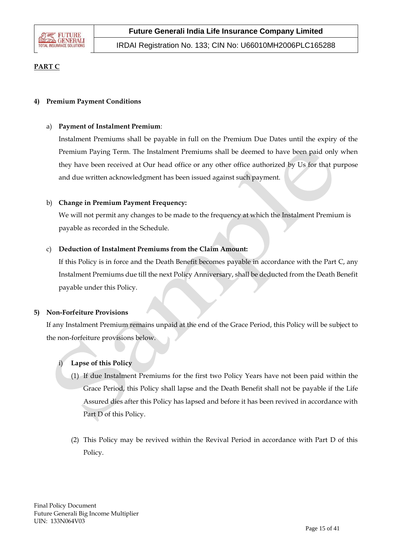

# **PART C**

### **4) Premium Payment Conditions**

### a) **Payment of Instalment Premium**:

Instalment Premiums shall be payable in full on the Premium Due Dates until the expiry of the Premium Paying Term. The Instalment Premiums shall be deemed to have been paid only when they have been received at Our head office or any other office authorized by Us for that purpose and due written acknowledgment has been issued against such payment.

### b) **Change in Premium Payment Frequency:**

We will not permit any changes to be made to the frequency at which the Instalment Premium is payable as recorded in the Schedule.

### c) **Deduction of Instalment Premiums from the Claim Amount:**

If this Policy is in force and the Death Benefit becomes payable in accordance with the Part C, any Instalment Premiums due till the next Policy Anniversary, shall be deducted from the Death Benefit payable under this Policy.

#### **5) Non-Forfeiture Provisions**

If any Instalment Premium remains unpaid at the end of the Grace Period, this Policy will be subject to the non-forfeiture provisions below.

### i) **Lapse of this Policy**

- (1) If due Instalment Premiums for the first two Policy Years have not been paid within the Grace Period, this Policy shall lapse and the Death Benefit shall not be payable if the Life Assured dies after this Policy has lapsed and before it has been revived in accordance with Part D of this Policy.
- (2) This Policy may be revived within the Revival Period in accordance with Part D of this Policy.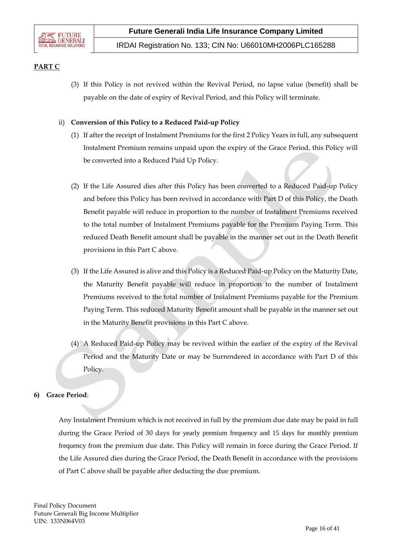

# **PART C**

(3) If this Policy is not revived within the Revival Period, no lapse value (benefit) shall be payable on the date of expiry of Revival Period, and this Policy will terminate.

### ii) **Conversion of this Policy to a Reduced Paid-up Policy**

- (1) If after the receipt of Instalment Premiums for the first 2 Policy Years in full, any subsequent Instalment Premium remains unpaid upon the expiry of the Grace Period, this Policy will be converted into a Reduced Paid Up Policy.
- (2) If the Life Assured dies after this Policy has been converted to a Reduced Paid-up Policy and before this Policy has been revived in accordance with Part D of this Policy, the Death Benefit payable will reduce in proportion to the number of Instalment Premiums received to the total number of Instalment Premiums payable for the Premium Paying Term. This reduced Death Benefit amount shall be payable in the manner set out in the Death Benefit provisions in this Part C above.
- (3) If the Life Assured is alive and this Policy is a Reduced Paid-up Policy on the Maturity Date, the Maturity Benefit payable will reduce in proportion to the number of Instalment Premiums received to the total number of Instalment Premiums payable for the Premium Paying Term. This reduced Maturity Benefit amount shall be payable in the manner set out in the Maturity Benefit provisions in this Part C above.
- (4) A Reduced Paid-up Policy may be revived within the earlier of the expiry of the Revival Period and the Maturity Date or may be Surrendered in accordance with Part D of this Policy.

### **6) Grace Period**:

Any Instalment Premium which is not received in full by the premium due date may be paid in full during the Grace Period of 30 days for yearly premium frequency and 15 days for monthly premium frequency from the premium due date. This Policy will remain in force during the Grace Period. If the Life Assured dies during the Grace Period, the Death Benefit in accordance with the provisions of Part C above shall be payable after deducting the due premium.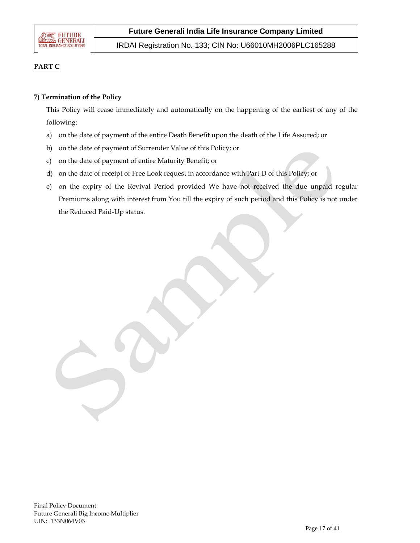

IRDAI Registration No. 133; CIN No: U66010MH2006PLC165288

# **PART C**

### **7) Termination of the Policy**

This Policy will cease immediately and automatically on the happening of the earliest of any of the following:

- a) on the date of payment of the entire Death Benefit upon the death of the Life Assured; or
- b) on the date of payment of Surrender Value of this Policy; or
- c) on the date of payment of entire Maturity Benefit; or
- d) on the date of receipt of Free Look request in accordance with Part D of this Policy; or
- e) on the expiry of the Revival Period provided We have not received the due unpaid regular Premiums along with interest from You till the expiry of such period and this Policy is not under the Reduced Paid-Up status.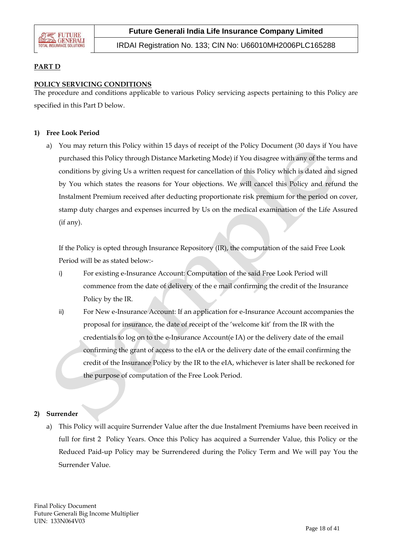

IRDAI Registration No. 133; CIN No: U66010MH2006PLC165288

### **PART D**

### **POLICY SERVICING CONDITIONS**

The procedure and conditions applicable to various Policy servicing aspects pertaining to this Policy are specified in this Part D below.

### **1) Free Look Period**

a) You may return this Policy within 15 days of receipt of the Policy Document (30 days if You have purchased this Policy through Distance Marketing Mode) if You disagree with any of the terms and conditions by giving Us a written request for cancellation of this Policy which is dated and signed by You which states the reasons for Your objections. We will cancel this Policy and refund the Instalment Premium received after deducting proportionate risk premium for the period on cover, stamp duty charges and expenses incurred by Us on the medical examination of the Life Assured (if any).

If the Policy is opted through Insurance Repository (IR), the computation of the said Free Look Period will be as stated below:-

- i) For existing e-Insurance Account: Computation of the said Free Look Period will commence from the date of delivery of the e mail confirming the credit of the Insurance Policy by the IR.
- ii) For New e-Insurance Account: If an application for e-Insurance Account accompanies the proposal for insurance, the date of receipt of the 'welcome kit' from the IR with the credentials to log on to the e-Insurance Account(e IA) or the delivery date of the email confirming the grant of access to the eIA or the delivery date of the email confirming the credit of the Insurance Policy by the IR to the eIA, whichever is later shall be reckoned for the purpose of computation of the Free Look Period.

### **2) Surrender**

a) This Policy will acquire Surrender Value after the due Instalment Premiums have been received in full for first 2 Policy Years. Once this Policy has acquired a Surrender Value, this Policy or the Reduced Paid-up Policy may be Surrendered during the Policy Term and We will pay You the Surrender Value.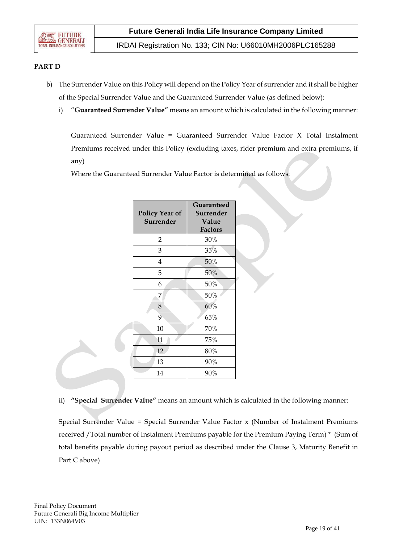

IRDAI Registration No. 133; CIN No: U66010MH2006PLC165288

### **PART D**

- b) The Surrender Value on this Policy will depend on the Policy Year of surrender and it shall be higher of the Special Surrender Value and the Guaranteed Surrender Value (as defined below):
	- i) "**Guaranteed Surrender Value"** means an amount which is calculated in the following manner:

Guaranteed Surrender Value = Guaranteed Surrender Value Factor X Total Instalment Premiums received under this Policy (excluding taxes, rider premium and extra premiums, if any)

Where the Guaranteed Surrender Value Factor is determined as follows:

| <b>Policy Year of</b><br><b>Surrender</b> | Guaranteed<br>Surrender<br>Value<br><b>Factors</b> |
|-------------------------------------------|----------------------------------------------------|
| 2                                         | 30%                                                |
| 3                                         | 35%                                                |
| 4                                         | 50%                                                |
| 5                                         | 50%                                                |
| 6                                         | 50%                                                |
| 7                                         | 50%                                                |
| 8                                         | 60%                                                |
| 9                                         | 65%                                                |
| 10                                        | 70%                                                |
| 11                                        | 75%                                                |
| 12                                        | 80%                                                |
| 13                                        | 90%                                                |
| 14                                        | 90%                                                |

#### ii) **"Special Surrender Value"** means an amount which is calculated in the following manner:

Special Surrender Value = Special Surrender Value Factor x (Number of Instalment Premiums received /Total number of Instalment Premiums payable for the Premium Paying Term) \* (Sum of total benefits payable during payout period as described under the Clause 3, Maturity Benefit in Part C above)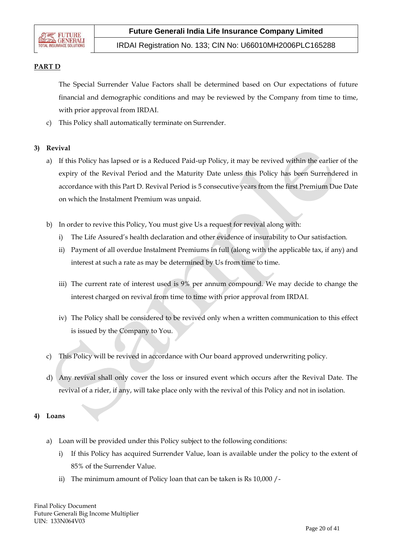

IRDAI Registration No. 133; CIN No: U66010MH2006PLC165288

### **PART D**

The Special Surrender Value Factors shall be determined based on Our expectations of future financial and demographic conditions and may be reviewed by the Company from time to time, with prior approval from IRDAI.

c) This Policy shall automatically terminate on Surrender.

### **3) Revival**

- a) If this Policy has lapsed or is a Reduced Paid-up Policy, it may be revived within the earlier of the expiry of the Revival Period and the Maturity Date unless this Policy has been Surrendered in accordance with this Part D. Revival Period is 5 consecutive years from the first Premium Due Date on which the Instalment Premium was unpaid.
- b) In order to revive this Policy, You must give Us a request for revival along with:
	- i) The Life Assured's health declaration and other evidence of insurability to Our satisfaction.
	- ii) Payment of all overdue Instalment Premiums in full (along with the applicable tax, if any) and interest at such a rate as may be determined by Us from time to time.
	- iii) The current rate of interest used is 9% per annum compound. We may decide to change the interest charged on revival from time to time with prior approval from IRDAI.
	- iv) The Policy shall be considered to be revived only when a written communication to this effect is issued by the Company to You.
- c) This Policy will be revived in accordance with Our board approved underwriting policy.
- d) Any revival shall only cover the loss or insured event which occurs after the Revival Date. The revival of a rider, if any, will take place only with the revival of this Policy and not in isolation.

#### **4) Loans**

- a) Loan will be provided under this Policy subject to the following conditions:
	- i) If this Policy has acquired Surrender Value, loan is available under the policy to the extent of 85% of the Surrender Value.
	- ii) The minimum amount of Policy loan that can be taken is Rs 10,000 /-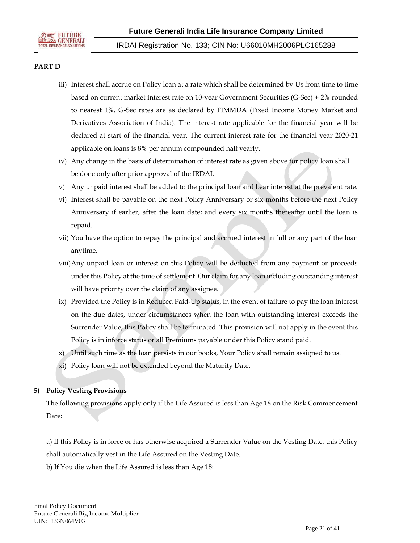### **PART D**

- iii) Interest shall accrue on Policy loan at a rate which shall be determined by Us from time to time based on current market interest rate on 10-year Government Securities (G-Sec) + 2% rounded to nearest 1%. G-Sec rates are as declared by FIMMDA (Fixed Income Money Market and Derivatives Association of India). The interest rate applicable for the financial year will be declared at start of the financial year. The current interest rate for the financial year 2020-21 applicable on loans is 8% per annum compounded half yearly.
- iv) Any change in the basis of determination of interest rate as given above for policy loan shall be done only after prior approval of the IRDAI.
- v) Any unpaid interest shall be added to the principal loan and bear interest at the prevalent rate.
- vi) Interest shall be payable on the next Policy Anniversary or six months before the next Policy Anniversary if earlier, after the loan date; and every six months thereafter until the loan is repaid.
- vii) You have the option to repay the principal and accrued interest in full or any part of the loan anytime.
- viii)Any unpaid loan or interest on this Policy will be deducted from any payment or proceeds under this Policy at the time of settlement. Our claim for any loan including outstanding interest will have priority over the claim of any assignee.
- ix) Provided the Policy is in Reduced Paid-Up status, in the event of failure to pay the loan interest on the due dates, under circumstances when the loan with outstanding interest exceeds the Surrender Value, this Policy shall be terminated. This provision will not apply in the event this Policy is in inforce status or all Premiums payable under this Policy stand paid.
- x) Until such time as the loan persists in our books, Your Policy shall remain assigned to us.
- xi) Policy loan will not be extended beyond the Maturity Date.

### **5) Policy Vesting Provisions**

The following provisions apply only if the Life Assured is less than Age 18 on the Risk Commencement Date:

a) If this Policy is in force or has otherwise acquired a Surrender Value on the Vesting Date, this Policy shall automatically vest in the Life Assured on the Vesting Date.

b) If You die when the Life Assured is less than Age 18: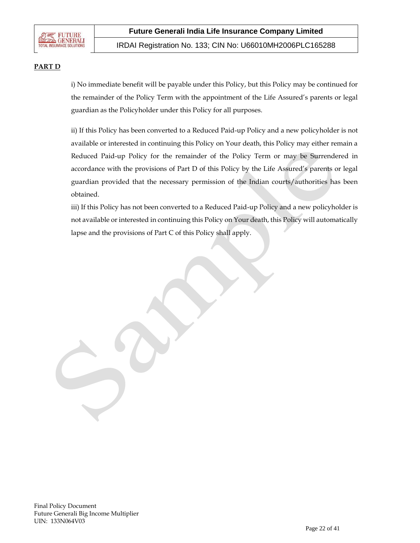

IRDAI Registration No. 133; CIN No: U66010MH2006PLC165288

### **PART D**

i) No immediate benefit will be payable under this Policy, but this Policy may be continued for the remainder of the Policy Term with the appointment of the Life Assured's parents or legal guardian as the Policyholder under this Policy for all purposes.

ii) If this Policy has been converted to a Reduced Paid-up Policy and a new policyholder is not available or interested in continuing this Policy on Your death, this Policy may either remain a Reduced Paid-up Policy for the remainder of the Policy Term or may be Surrendered in accordance with the provisions of Part D of this Policy by the Life Assured's parents or legal guardian provided that the necessary permission of the Indian courts/authorities has been obtained.

iii) If this Policy has not been converted to a Reduced Paid-up Policy and a new policyholder is not available or interested in continuing this Policy on Your death, this Policy will automatically lapse and the provisions of Part C of this Policy shall apply.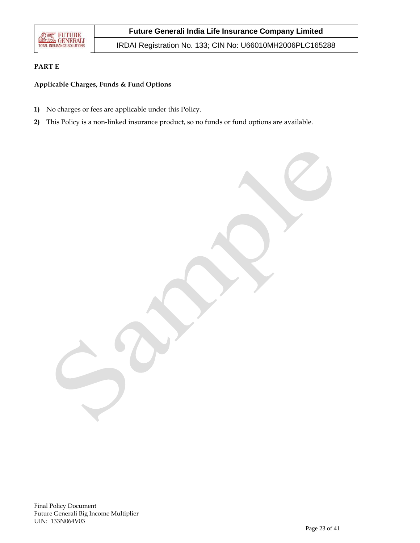

IRDAI Registration No. 133; CIN No: U66010MH2006PLC165288

# **PART E**

### **Applicable Charges, Funds & Fund Options**

- **1)** No charges or fees are applicable under this Policy.
- **2)** This Policy is a non-linked insurance product, so no funds or fund options are available.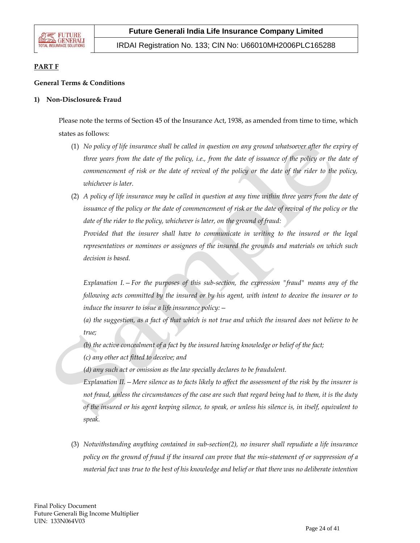

IRDAI Registration No. 133; CIN No: U66010MH2006PLC165288

### **PART F**

### **General Terms & Conditions**

#### **1) Non-Disclosure& Fraud**

Please note the terms of Section 45 of the Insurance Act, 1938, as amended from time to time, which states as follows:

- (1) *No policy of life insurance shall be called in question on any ground whatsoever after the expiry of three years from the date of the policy, i.e., from the date of issuance of the policy or the date of commencement of risk or the date of revival of the policy or the date of the rider to the policy, whichever is later.*
- (2) *A policy of life insurance may be called in question at any time within three years from the date of issuance of the policy or the date of commencement of risk or the date of revival of the policy or the date of the rider to the policy, whichever is later, on the ground of fraud:*

Provided that the insurer shall have to communicate in writing to the insured or the legal *representatives or nominees or assignees of the insured the grounds and materials on which such decision is based.*

*Explanation I.—For the purposes of this sub-section, the expression "fraud" means any of the following acts committed by the insured or by his agent, with intent to deceive the insurer or to induce the insurer to issue a life insurance policy:—*

*(a) the suggestion, as a fact of that which is not true and which the insured does not believe to be true;*

*(b) the active concealment of a fact by the insured having knowledge or belief of the fact;*

*(c) any other act fitted to deceive; and*

*(d) any such act or omission as the law specially declares to be fraudulent.*

*Explanation II.—Mere silence as to facts likely to affect the assessment of the risk by the insurer is not fraud, unless the circumstances of the case are such that regard being had to them, it is the duty of the insured or his agent keeping silence, to speak, or unless his silence is, in itself, equivalent to speak.*

(3) *Notwithstanding anything contained in sub-section(2), no insurer shall repudiate a life insurance policy on the ground of fraud if the insured can prove that the mis-statement of or suppression of a material fact was true to the best of his knowledge and belief or that there was no deliberate intention*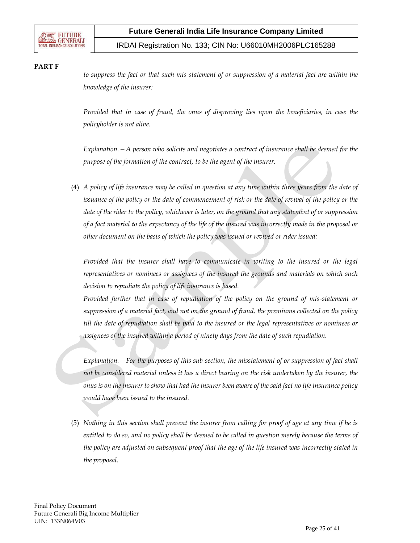

IRDAI Registration No. 133; CIN No: U66010MH2006PLC165288

### **PART F**

*to suppress the fact or that such mis-statement of or suppression of a material fact are within the knowledge of the insurer:*

*Provided that in case of fraud, the onus of disproving lies upon the beneficiaries, in case the policyholder is not alive.* 

*Explanation.—A person who solicits and negotiates a contract of insurance shall be deemed for the purpose of the formation of the contract, to be the agent of the insurer.*

(4) *A policy of life insurance may be called in question at any time within three years from the date of issuance of the policy or the date of commencement of risk or the date of revival of the policy or the date of the rider to the policy, whichever is later, on the ground that any statement of or suppression of a fact material to the expectancy of the life of the insured was incorrectly made in the proposal or other document on the basis of which the policy was issued or revived or rider issued:*

*Provided that the insurer shall have to communicate in writing to the insured or the legal representatives or nominees or assignees of the insured the grounds and materials on which such decision to repudiate the policy of life insurance is based.*

*Provided further that in case of repudiation of the policy on the ground of mis-statement or suppression of a material fact, and not on the ground of fraud, the premiums collected on the policy till the date of repudiation shall be paid to the insured or the legal representatives or nominees or assignees of the insured within a period of ninety days from the date of such repudiation.*

*Explanation.—For the purposes of this sub-section, the misstatement of or suppression of fact shall not be considered material unless it has a direct bearing on the risk undertaken by the insurer, the onus is on the insurer to show that had the insurer been aware of the said fact no life insurance policy would have been issued to the insured.*

(5) *Nothing in this section shall prevent the insurer from calling for proof of age at any time if he is entitled to do so, and no policy shall be deemed to be called in question merely because the terms of the policy are adjusted on subsequent proof that the age of the life insured was incorrectly stated in the proposal.*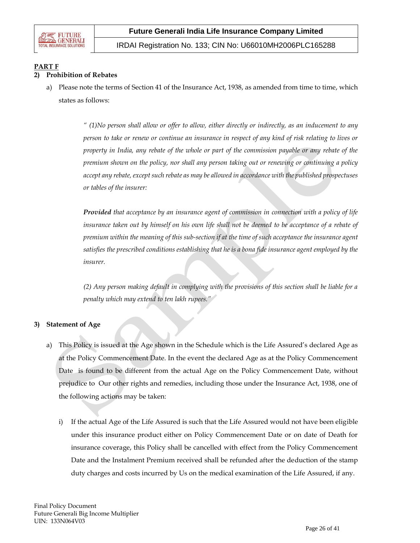

IRDAI Registration No. 133; CIN No: U66010MH2006PLC165288

# **PART F**

### **2) Prohibition of Rebates**

a) Please note the terms of Section 41 of the Insurance Act, 1938, as amended from time to time, which states as follows:

> *" (1)No person shall allow or offer to allow, either directly or indirectly, as an inducement to any person to take or renew or continue an insurance in respect of any kind of risk relating to lives or property in India, any rebate of the whole or part of the commission payable or any rebate of the premium shown on the policy, nor shall any person taking out or renewing or continuing a policy accept any rebate, except such rebate as may be allowed in accordance with the published prospectuses or tables of the insurer:*

> *Provided that acceptance by an insurance agent of commission in connection with a policy of life insurance taken out by himself on his own life shall not be deemed to be acceptance of a rebate of premium within the meaning of this sub-section if at the time of such acceptance the insurance agent satisfies the prescribed conditions establishing that he is a bona fide insurance agent employed by the insurer.*

> *(2) Any person making default in complying with the provisions of this section shall be liable for a penalty which may extend to ten lakh rupees."*

### **3) Statement of Age**

- a) This Policy is issued at the Age shown in the Schedule which is the Life Assured's declared Age as at the Policy Commencement Date. In the event the declared Age as at the Policy Commencement Date is found to be different from the actual Age on the Policy Commencement Date, without prejudice to Our other rights and remedies, including those under the Insurance Act, 1938, one of the following actions may be taken:
	- i) If the actual Age of the Life Assured is such that the Life Assured would not have been eligible under this insurance product either on Policy Commencement Date or on date of Death for insurance coverage, this Policy shall be cancelled with effect from the Policy Commencement Date and the Instalment Premium received shall be refunded after the deduction of the stamp duty charges and costs incurred by Us on the medical examination of the Life Assured, if any.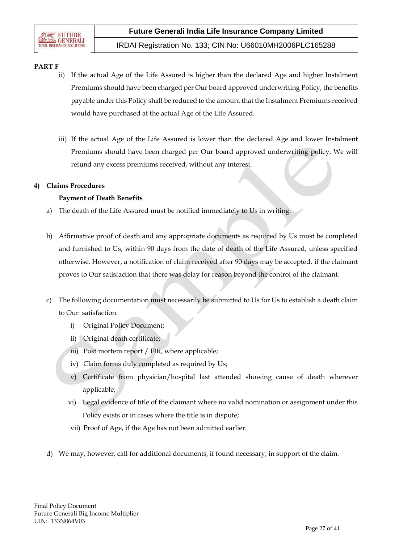# **PART F**

- ii) If the actual Age of the Life Assured is higher than the declared Age and higher Instalment Premiums should have been charged per Our board approved underwriting Policy, the benefits payable under this Policy shall be reduced to the amount that the Instalment Premiums received would have purchased at the actual Age of the Life Assured.
- iii) If the actual Age of the Life Assured is lower than the declared Age and lower Instalment Premiums should have been charged per Our board approved underwriting policy, We will refund any excess premiums received, without any interest.

### **4) Claims Procedures**

### **Payment of Death Benefits**

- a) The death of the Life Assured must be notified immediately to Us in writing.
- b) Affirmative proof of death and any appropriate documents as required by Us must be completed and furnished to Us, within 90 days from the date of death of the Life Assured, unless specified otherwise. However, a notification of claim received after 90 days may be accepted, if the claimant proves to Our satisfaction that there was delay for reason beyond the control of the claimant.
- c) The following documentation must necessarily be submitted to Us for Us to establish a death claim to Our satisfaction:
	- i) Original Policy Document;
	- ii) Original death certificate;
	- iii) Post mortem report / FIR, where applicable;
	- iv) Claim forms duly completed as required by Us;
	- v) Certificate from physician/hospital last attended showing cause of death wherever applicable;
	- vi) Legal evidence of title of the claimant where no valid nomination or assignment under this Policy exists or in cases where the title is in dispute;
	- vii) Proof of Age, if the Age has not been admitted earlier.
- d) We may, however, call for additional documents, if found necessary, in support of the claim.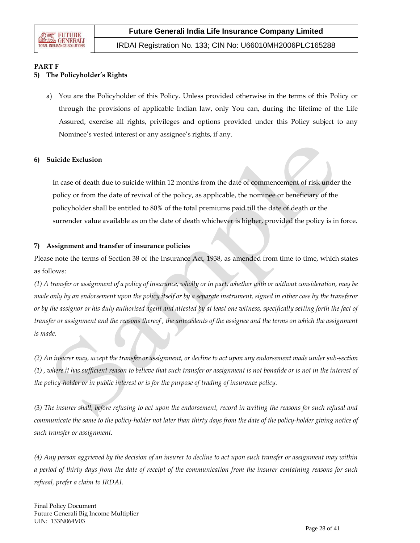

# **PART F**

# **5) The Policyholder's Rights**

a) You are the Policyholder of this Policy. Unless provided otherwise in the terms of this Policy or through the provisions of applicable Indian law, only You can, during the lifetime of the Life Assured, exercise all rights, privileges and options provided under this Policy subject to any Nominee's vested interest or any assignee's rights, if any.

### **6) Suicide Exclusion**

In case of death due to suicide within 12 months from the date of commencement of risk under the policy or from the date of revival of the policy, as applicable, the nominee or beneficiary of the policyholder shall be entitled to 80% of the total premiums paid till the date of death or the surrender value available as on the date of death whichever is higher, provided the policy is in force.

### **7) Assignment and transfer of insurance policies**

Please note the terms of Section 38 of the Insurance Act, 1938, as amended from time to time, which states as follows:

*(1) A transfer or assignment of a policy of insurance, wholly or in part, whether with or without consideration, may be made only by an endorsement upon the policy itself or by a separate instrument, signed in either case by the transferor or by the assignor or his duly authorised agent and attested by at least one witness, specifically setting forth the fact of transfer or assignment and the reasons thereof , the antecedents of the assignee and the terms on which the assignment is made.*

*(2) An insurer may, accept the transfer or assignment, or decline to act upon any endorsement made under sub-section (1) , where it has sufficient reason to believe that such transfer or assignment is not bonafide or is not in the interest of the policy-holder or in public interest or is for the purpose of trading of insurance policy.*

*(3) The insurer shall, before refusing to act upon the endorsement, record in writing the reasons for such refusal and communicate the same to the policy-holder not later than thirty days from the date of the policy-holder giving notice of such transfer or assignment.*

*(4) Any person aggrieved by the decision of an insurer to decline to act upon such transfer or assignment may within a period of thirty days from the date of receipt of the communication from the insurer containing reasons for such refusal, prefer a claim to IRDAI.*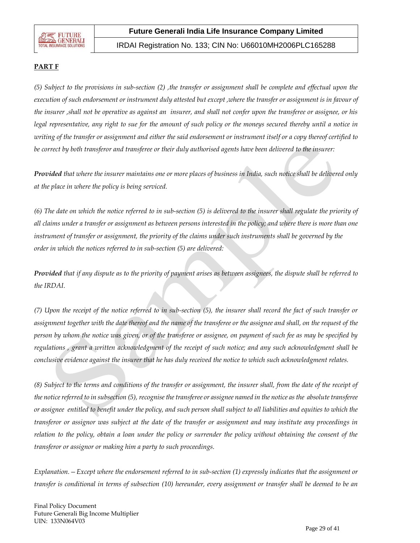

IRDAI Registration No. 133; CIN No: U66010MH2006PLC165288

### **PART F**

*(5) Subject to the provisions in sub-section (2) ,the transfer or assignment shall be complete and effectual upon the execution of such endorsement or instrument duly attested but except ,where the transfer or assignment is in favour of the insurer ,shall not be operative as against an insurer, and shall not confer upon the transferee or assignee, or his legal representative, any right to sue for the amount of such policy or the moneys secured thereby until a notice in writing of the transfer or assignment and either the said endorsement or instrument itself or a copy thereof certified to be correct by both transferor and transferee or their duly authorised agents have been delivered to the insurer:*

*Provided that where the insurer maintains one or more places of business in India, such notice shall be delivered only at the place in where the policy is being serviced.*

*(6) The date on which the notice referred to in sub-section (5) is delivered to the insurer shall regulate the priority of all claims under a transfer or assignment as between persons interested in the policy; and where there is more than one*  instrument of transfer or assignment, the priority of the claims under such instruments shall be governed by the *order in which the notices referred to in sub-section (5) are delivered:*

*Provided that if any dispute as to the priority of payment arises as between assignees, the dispute shall be referred to the IRDAI.*

*(7) Upon the receipt of the notice referred to in sub-section (5), the insurer shall record the fact of such transfer or assignment together with the date thereof and the name of the transferee or the assignee and shall, on the request of the person by whom the notice was given, or of the transferee or assignee, on payment of such fee as may be specified by regulations , grant a written acknowledgment of the receipt of such notice; and any such acknowledgment shall be conclusive evidence against the insurer that he has duly received the notice to which such acknowledgment relates.*

*(8) Subject to the terms and conditions of the transfer or assignment, the insurer shall, from the date of the receipt of the notice referred to in subsection (5), recognise the transferee or assignee named in the notice as the absolute transferee or assignee entitled to benefit under the policy, and such person shall subject to all liabilities and equities to which the transferor or assignor was subject at the date of the transfer or assignment and may institute any proceedings in relation to the policy, obtain a loan under the policy or surrender the policy without obtaining the consent of the transferor or assignor or making him a party to such proceedings.*

*Explanation.—Except where the endorsement referred to in sub-section (1) expressly indicates that the assignment or transfer is conditional in terms of subsection (10) hereunder, every assignment or transfer shall be deemed to be an* 

Final Policy Document Future Generali Big Income Multiplier UIN: 133N064V03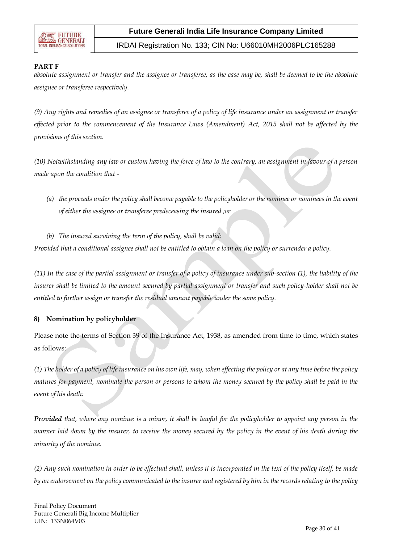

IRDAI Registration No. 133; CIN No: U66010MH2006PLC165288

### **PART F**

*absolute assignment or transfer and the assignee or transferee, as the case may be, shall be deemed to be the absolute assignee or transferee respectively.*

*(9) Any rights and remedies of an assignee or transferee of a policy of life insurance under an assignment or transfer effected prior to the commencement of the Insurance Laws (Amendment) Act, 2015 shall not be affected by the provisions of this section.*

*(10) Notwithstanding any law or custom having the force of law to the contrary, an assignment in favour of a person made upon the condition that -*

- *(a) the proceeds under the policy shall become payable to the policyholder or the nominee or nominees in the event of either the assignee or transferee predeceasing the insured ;or*
- *(b) The insured surviving the term of the policy, shall be valid:*

*Provided that a conditional assignee shall not be entitled to obtain a loan on the policy or surrender a policy.*

*(11) In the case of the partial assignment or transfer of a policy of insurance under sub-section (1), the liability of the insurer shall be limited to the amount secured by partial assignment or transfer and such policy-holder shall not be entitled to further assign or transfer the residual amount payable under the same policy.*

### **8) Nomination by policyholder**

Please note the terms of Section 39 of the Insurance Act, 1938, as amended from time to time, which states as follows:

*(1) The holder of a policy of life insurance on his own life, may, when effecting the policy or at any time before the policy matures for payment, nominate the person or persons to whom the money secured by the policy shall be paid in the event of his death:*

*Provided that, where any nominee is a minor, it shall be lawful for the policyholder to appoint any person in the manner laid down by the insurer, to receive the money secured by the policy in the event of his death during the minority of the nominee.*

*(2) Any such nomination in order to be effectual shall, unless it is incorporated in the text of the policy itself, be made by an endorsement on the policy communicated to the insurer and registered by him in the records relating to the policy*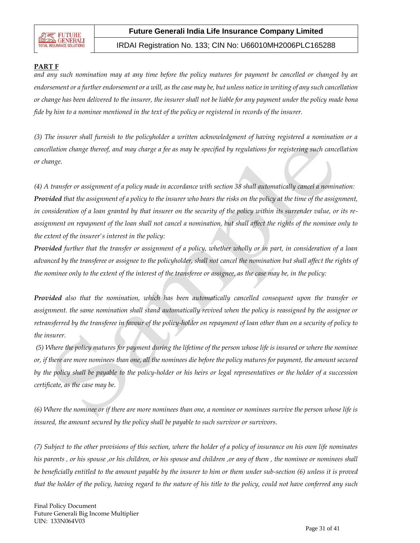

IRDAI Registration No. 133; CIN No: U66010MH2006PLC165288

### **PART F**

*and any such nomination may at any time before the policy matures for payment be cancelled or changed by an endorsement or a further endorsement or a will, as the case may be, but unless notice in writing of any such cancellation or change has been delivered to the insurer, the insurer shall not be liable for any payment under the policy made bona fide by him to a nominee mentioned in the text of the policy or registered in records of the insurer.*

*(3) The insurer shall furnish to the policyholder a written acknowledgment of having registered a nomination or a cancellation change thereof, and may charge a fee as may be specified by regulations for registering such cancellation or change.*

*(4) A transfer or assignment of a policy made in accordance with section 38 shall automatically cancel a nomination: Provided that the assignment of a policy to the insurer who bears the risks on the policy at the time of the assignment, in consideration of a loan granted by that insurer on the security of the policy within its surrender value, or its reassignment on repayment of the loan shall not cancel a nomination, but shall affect the rights of the nominee only to the extent of the insurer's interest in the policy:*

*Provided further that the transfer or assignment of a policy, whether wholly or in part, in consideration of a loan advanced by the transferee or assignee to the policyholder, shall not cancel the nomination but shall affect the rights of the nominee only to the extent of the interest of the transferee or assignee, as the case may be, in the policy:*

*Provided also that the nomination, which has been automatically cancelled consequent upon the transfer or assignment. the same nomination shall stand automatically revived when the policy is reassigned by the assignee or retransferred by the transferee in favour of the policy-holder on repayment of loan other than on a security of policy to the insurer.*

*(5) Where the policy matures for payment during the lifetime of the person whose life is insured or where the nominee or, if there are more nominees than one, all the nominees die before the policy matures for payment, the amount secured by the policy shall be payable to the policy-holder or his heirs or legal representatives or the holder of a succession certificate, as the case may be.*

*(6) Where the nominee or if there are more nominees than one, a nominee or nominees survive the person whose life is insured, the amount secured by the policy shall be payable to such survivor or survivors.*

*(7) Subject to the other provisions of this section, where the holder of a policy of insurance on his own life nominates his parents , or his spouse ,or his children, or his spouse and children ,or any of them , the nominee or nominees shall be beneficially entitled to the amount payable by the insurer to him or them under sub-section (6) unless it is proved that the holder of the policy, having regard to the nature of his title to the policy, could not have conferred any such*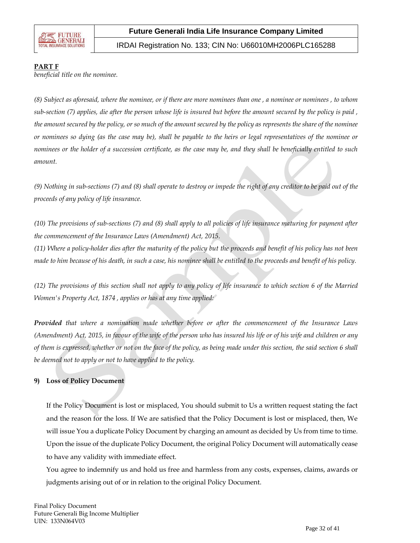

IRDAI Registration No. 133; CIN No: U66010MH2006PLC165288

#### **PART F**

*beneficial title on the nominee.*

*(8) Subject as aforesaid, where the nominee, or if there are more nominees than one , a nominee or nominees , to whom sub-section (7) applies, die after the person whose life is insured but before the amount secured by the policy is paid , the amount secured by the policy, or so much of the amount secured by the policy as represents the share of the nominee or nominees so dying (as the case may be), shall be payable to the heirs or legal representatives of the nominee or nominees or the holder of a succession certificate, as the case may be, and they shall be beneficially entitled to such amount.*

*(9) Nothing in sub-sections (7) and (8) shall operate to destroy or impede the right of any creditor to be paid out of the proceeds of any policy of life insurance.*

*(10) The provisions of sub-sections (7) and (8) shall apply to all policies of life insurance maturing for payment after the commencement of the Insurance Laws (Amendment) Act, 2015.*

*(11) Where a policy-holder dies after the maturity of the policy but the proceeds and benefit of his policy has not been made to him because of his death, in such a case, his nominee shall be entitled to the proceeds and benefit of his policy.*

*(12) The provisions of this section shall not apply to any policy of life insurance to which section 6 of the Married Women's Property Act, 1874 , applies or has at any time applied:*

*Provided that where a nomination made whether before or after the commencement of the Insurance Laws (Amendment) Act, 2015, in favour of the wife of the person who has insured his life or of his wife and children or any of them is expressed, whether or not on the face of the policy, as being made under this section, the said section 6 shall be deemed not to apply or not to have applied to the policy.*

### **9) Loss of Policy Document**

If the Policy Document is lost or misplaced, You should submit to Us a written request stating the fact and the reason for the loss. If We are satisfied that the Policy Document is lost or misplaced, then, We will issue You a duplicate Policy Document by charging an amount as decided by Us from time to time. Upon the issue of the duplicate Policy Document, the original Policy Document will automatically cease to have any validity with immediate effect.

You agree to indemnify us and hold us free and harmless from any costs, expenses, claims, awards or judgments arising out of or in relation to the original Policy Document.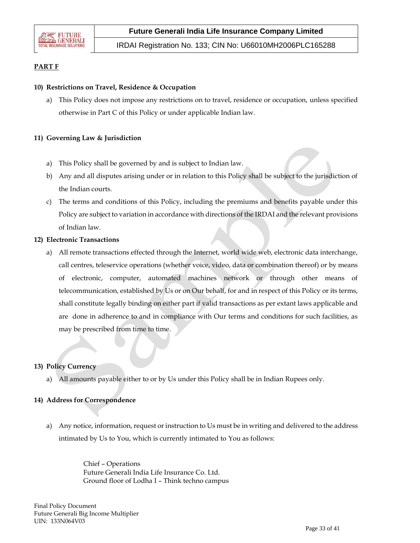

### **PART F**

#### **10) Restrictions on Travel, Residence & Occupation**

a) This Policy does not impose any restrictions on to travel, residence or occupation, unless specified otherwise in Part C of this Policy or under applicable Indian law.

#### **11) Governing Law & Jurisdiction**

- a) This Policy shall be governed by and is subject to Indian law.
- b) Any and all disputes arising under or in relation to this Policy shall be subject to the jurisdiction of the Indian courts.
- c) The terms and conditions of this Policy, including the premiums and benefits payable under this Policy are subject to variation in accordance with directions of the IRDAI and the relevant provisions of Indian law.

#### **12) Electronic Transactions**

a) All remote transactions effected through the Internet, world wide web, electronic data interchange, call centres, teleservice operations (whether voice, video, data or combination thereof) or by means of electronic, computer, automated machines network or through other means of telecommunication, established by Us or on Our behalf, for and in respect of this Policy or its terms, shall constitute legally binding on either part if valid transactions as per extant laws applicable and are done in adherence to and in compliance with Our terms and conditions for such facilities, as may be prescribed from time to time.

#### **13) Policy Currency**

a) All amounts payable either to or by Us under this Policy shall be in Indian Rupees only.

#### **14) Address for Correspondence**

a) Any notice, information, request or instruction to Us must be in writing and delivered to the address intimated by Us to You, which is currently intimated to You as follows:

> Chief – Operations Future Generali India Life Insurance Co. Ltd. Ground floor of Lodha I – Think techno campus

Final Policy Document Future Generali Big Income Multiplier UIN: 133N064V03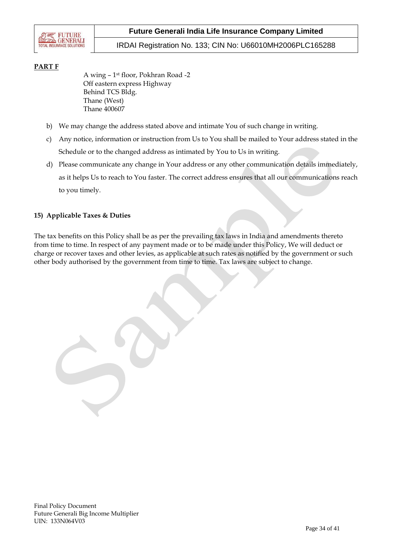

IRDAI Registration No. 133; CIN No: U66010MH2006PLC165288

## **PART F**

A wing – 1 st floor, Pokhran Road -2 Off eastern express Highway Behind TCS Bldg. Thane (West) Thane 400607

- b) We may change the address stated above and intimate You of such change in writing.
- c) Any notice, information or instruction from Us to You shall be mailed to Your address stated in the Schedule or to the changed address as intimated by You to Us in writing.
- d) Please communicate any change in Your address or any other communication details immediately, as it helps Us to reach to You faster. The correct address ensures that all our communications reach to you timely.

### **15) Applicable Taxes & Duties**

The tax benefits on this Policy shall be as per the prevailing tax laws in India and amendments thereto from time to time. In respect of any payment made or to be made under this Policy, We will deduct or charge or recover taxes and other levies, as applicable at such rates as notified by the government or such other body authorised by the government from time to time. Tax laws are subject to change.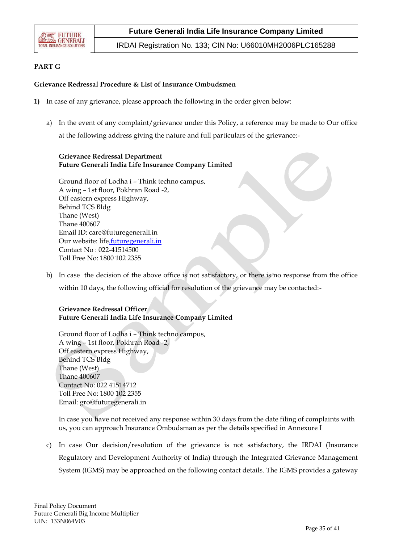

IRDAI Registration No. 133; CIN No: U66010MH2006PLC165288

### **PART G**

#### **Grievance Redressal Procedure & List of Insurance Ombudsmen**

- **1)** In case of any grievance, please approach the following in the order given below:
	- a) In the event of any complaint/grievance under this Policy, a reference may be made to Our office at the following address giving the nature and full particulars of the grievance:-

#### **Grievance Redressal Department Future Generali India Life Insurance Company Limited**

Ground floor of Lodha i – Think techno campus, A wing – 1st floor, Pokhran Road -2, Off eastern express Highway, Behind TCS Bldg Thane (West) Thane 400607 Email ID: care@futuregenerali.in Our website: [life.futuregenerali.in](http://.futuregenerali.in/) Contact No : 022-41514500 Toll Free No: 1800 102 2355

b) In case the decision of the above office is not satisfactory, or there is no response from the office within 10 days, the following official for resolution of the grievance may be contacted:-

### **Grievance Redressal Officer Future Generali India Life Insurance Company Limited**

Ground floor of Lodha i – Think techno campus, A wing – 1st floor, Pokhran Road -2, Off eastern express Highway, Behind TCS Bldg Thane (West) Thane 400607 Contact No: 022 41514712 Toll Free No: 1800 102 2355 Email: gro@futuregenerali.in

In case you have not received any response within 30 days from the date filing of complaints with us, you can approach Insurance Ombudsman as per the details specified in Annexure I

c) In case Our decision/resolution of the grievance is not satisfactory, the IRDAI (Insurance Regulatory and Development Authority of India) through the Integrated Grievance Management System (IGMS) may be approached on the following contact details. The IGMS provides a gateway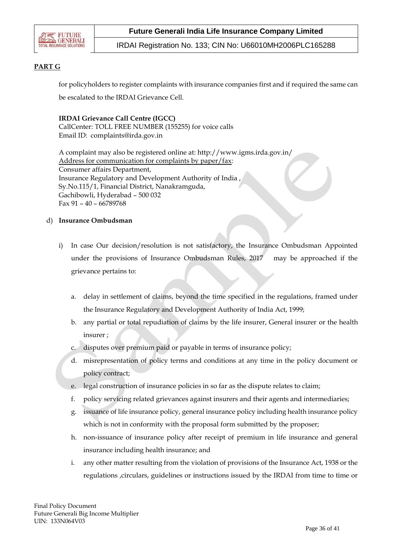

IRDAI Registration No. 133; CIN No: U66010MH2006PLC165288

### **PART G**

for policyholders to register complaints with insurance companies first and if required the same can be escalated to the IRDAI Grievance Cell.

### **IRDAI Grievance Call Centre (IGCC)**

CallCenter: TOLL FREE NUMBER (155255) for voice calls Email ID: complaints@irda.gov.in

A complaint may also be registered online at: http://www.igms.irda.gov.in/ Address for communication for complaints by paper/fax: Consumer affairs Department, Insurance Regulatory and Development Authority of India , Sy.No.115/1, Financial District, Nanakramguda, Gachibowli, Hyderabad – 500 032 Fax 91 – 40 – 66789768

### d) **Insurance Ombudsman**

- i) In case Our decision/resolution is not satisfactory, the Insurance Ombudsman Appointed under the provisions of Insurance Ombudsman Rules, 2017 may be approached if the grievance pertains to:
	- a. delay in settlement of claims, beyond the time specified in the regulations, framed under the Insurance Regulatory and Development Authority of India Act, 1999;
	- b. any partial or total repudiation of claims by the life insurer, General insurer or the health insurer ;
	- c. disputes over premium paid or payable in terms of insurance policy;
	- d. misrepresentation of policy terms and conditions at any time in the policy document or policy contract;
	- e. legal construction of insurance policies in so far as the dispute relates to claim;
	- f. policy servicing related grievances against insurers and their agents and intermediaries;
	- g. issuance of life insurance policy, general insurance policy including health insurance policy which is not in conformity with the proposal form submitted by the proposer;
	- h. non-issuance of insurance policy after receipt of premium in life insurance and general insurance including health insurance; and
	- i. any other matter resulting from the violation of provisions of the Insurance Act, 1938 or the regulations ,circulars, guidelines or instructions issued by the IRDAI from time to time or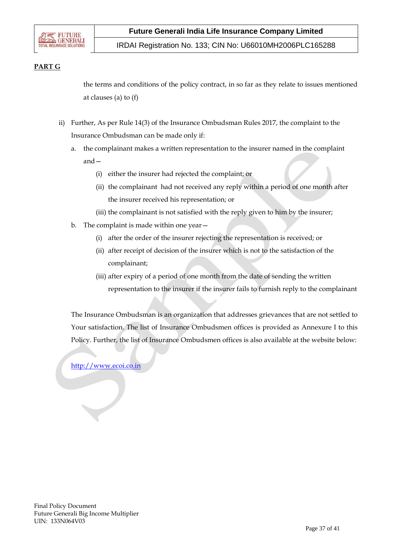

IRDAI Registration No. 133; CIN No: U66010MH2006PLC165288

### **PART G**

the terms and conditions of the policy contract, in so far as they relate to issues mentioned at clauses (a) to (f)

- ii) Further, As per Rule 14(3) of the Insurance Ombudsman Rules 2017, the complaint to the Insurance Ombudsman can be made only if:
	- a. the complainant makes a written representation to the insurer named in the complaint and—
		- (i) either the insurer had rejected the complaint; or
		- (ii) the complainant had not received any reply within a period of one month after the insurer received his representation; or
		- (iii) the complainant is not satisfied with the reply given to him by the insurer;
	- b. The complaint is made within one year—
		- (i) after the order of the insurer rejecting the representation is received; or
		- (ii) after receipt of decision of the insurer which is not to the satisfaction of the complainant;
		- (iii) after expiry of a period of one month from the date of sending the written representation to the insurer if the insurer fails to furnish reply to the complainant

The Insurance Ombudsman is an organization that addresses grievances that are not settled to Your satisfaction. The list of Insurance Ombudsmen offices is provided as Annexure I to this Policy. Further, the list of Insurance Ombudsmen offices is also available at the website below:

[http://www.ecoi.co.in](http://www.ecoi.co.in/)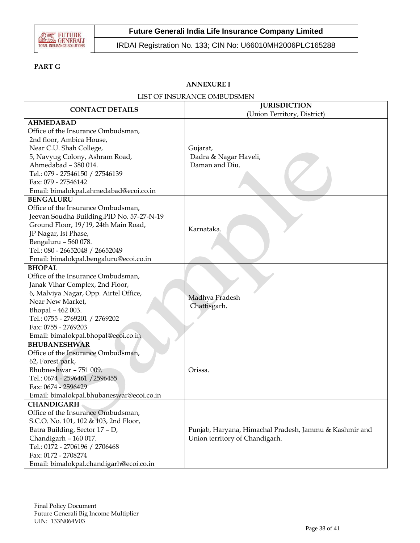

IRDAI Registration No. 133; CIN No: U66010MH2006PLC165288

# **PART G**

# **ANNEXURE I**

|  | LIST OF INSURANCE OMBUDSMEN |  |  |
|--|-----------------------------|--|--|
|--|-----------------------------|--|--|

| <b>CONTACT DETAILS</b>                                                                                                                                                                                                                                                      | <b>JURISDICTION</b>                                                                      |  |  |
|-----------------------------------------------------------------------------------------------------------------------------------------------------------------------------------------------------------------------------------------------------------------------------|------------------------------------------------------------------------------------------|--|--|
|                                                                                                                                                                                                                                                                             | (Union Territory, District)                                                              |  |  |
| <b>AHMEDABAD</b><br>Office of the Insurance Ombudsman,<br>2nd floor, Ambica House,<br>Near C.U. Shah College,<br>5, Navyug Colony, Ashram Road,<br>Ahmedabad - 380 014.<br>Tel.: 079 - 27546150 / 27546139<br>Fax: 079 - 27546142<br>Email: bimalokpal.ahmedabad@ecoi.co.in | Gujarat,<br>Dadra & Nagar Haveli,<br>Daman and Diu.                                      |  |  |
| <b>BENGALURU</b><br>Office of the Insurance Ombudsman,<br>Jeevan Soudha Building, PID No. 57-27-N-19<br>Ground Floor, 19/19, 24th Main Road,<br>JP Nagar, Ist Phase,<br>Bengaluru - 560 078.<br>Tel.: 080 - 26652048 / 26652049<br>Email: bimalokpal.bengaluru@ecoi.co.in   | Karnataka.                                                                               |  |  |
| <b>BHOPAL</b>                                                                                                                                                                                                                                                               |                                                                                          |  |  |
| Office of the Insurance Ombudsman,<br>Janak Vihar Complex, 2nd Floor,<br>6, Malviya Nagar, Opp. Airtel Office,<br>Near New Market,<br>Bhopal - 462 003.<br>Tel.: 0755 - 2769201 / 2769202<br>Fax: 0755 - 2769203<br>Email: bimalokpal.bhopal@ecoi.co.in                     | Madhya Pradesh<br>Chattisgarh.                                                           |  |  |
| <b>BHUBANESHWAR</b><br>Office of the Insurance Ombudsman,<br>62, Forest park,<br>Bhubneshwar - 751 009.<br>Tel.: 0674 - 2596461 / 2596455<br>Fax: 0674 - 2596429<br>Email: bimalokpal.bhubaneswar@ecoi.co.in                                                                | Orissa.                                                                                  |  |  |
| <b>CHANDIGARH</b>                                                                                                                                                                                                                                                           |                                                                                          |  |  |
| Office of the Insurance Ombudsman,<br>S.C.O. No. 101, 102 & 103, 2nd Floor,<br>Batra Building, Sector 17 - D,<br>Chandigarh - 160 017.<br>Tel.: 0172 - 2706196 / 2706468<br>Fax: 0172 - 2708274<br>Email: bimalokpal.chandigarh@ecoi.co.in                                  | Punjab, Haryana, Himachal Pradesh, Jammu & Kashmir and<br>Union territory of Chandigarh. |  |  |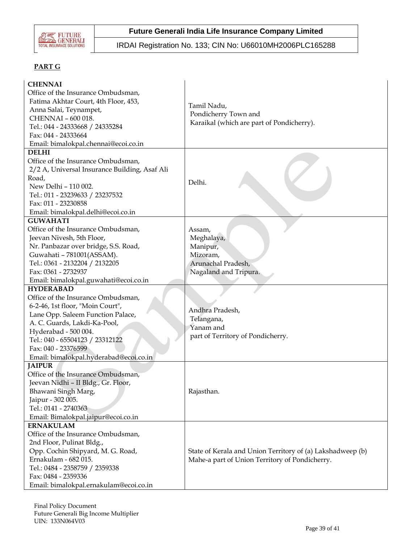

IRDAI Registration No. 133; CIN No: U66010MH2006PLC165288

# **PART G**

| <b>CHENNAI</b><br>Office of the Insurance Ombudsman,<br>Fatima Akhtar Court, 4th Floor, 453,<br>Anna Salai, Teynampet,<br>CHENNAI - 600 018.<br>Tel.: 044 - 24333668 / 24335284<br>Fax: 044 - 24333664<br>Email: bimalokpal.chennai@ecoi.co.in                                              | Tamil Nadu,<br>Pondicherry Town and<br>Karaikal (which are part of Pondicherry).                             |
|---------------------------------------------------------------------------------------------------------------------------------------------------------------------------------------------------------------------------------------------------------------------------------------------|--------------------------------------------------------------------------------------------------------------|
| <b>DELHI</b><br>Office of the Insurance Ombudsman,<br>2/2 A, Universal Insurance Building, Asaf Ali<br>Road,<br>New Delhi - 110 002.<br>Tel.: 011 - 23239633 / 23237532<br>Fax: 011 - 23230858<br>Email: bimalokpal.delhi@ecoi.co.in                                                        | Delhi.                                                                                                       |
| <b>GUWAHATI</b><br>Office of the Insurance Ombudsman,<br>Jeevan Nivesh, 5th Floor,<br>Nr. Panbazar over bridge, S.S. Road,<br>Guwahati - 781001(ASSAM).<br>Tel.: 0361 - 2132204 / 2132205<br>Fax: 0361 - 2732937<br>Email: bimalokpal.guwahati@ecoi.co.in                                   | Assam,<br>Meghalaya,<br>Manipur,<br>Mizoram,<br>Arunachal Pradesh,<br>Nagaland and Tripura.                  |
| <b>HYDERABAD</b><br>Office of the Insurance Ombudsman,<br>6-2-46, 1st floor, "Moin Court",<br>Lane Opp. Saleem Function Palace,<br>A. C. Guards, Lakdi-Ka-Pool,<br>Hyderabad - 500 004.<br>Tel.: 040 - 65504123 / 23312122<br>Fax: 040 - 23376599<br>Email: bimalokpal.hyderabad@ecoi.co.in | Andhra Pradesh,<br>Telangana,<br>Yanam and<br>part of Territory of Pondicherry.                              |
| <b>JAIPUR</b><br>Office of the Insurance Ombudsman,<br>Jeevan Nidhi - II Bldg., Gr. Floor,<br>Bhawani Singh Marg,<br>Jaipur - 302 005.<br>Tel.: 0141 - 2740363<br>Email: Bimalokpal.jaipur@ecoi.co.in                                                                                       | Rajasthan.                                                                                                   |
| <b>ERNAKULAM</b><br>Office of the Insurance Ombudsman,<br>2nd Floor, Pulinat Bldg.,<br>Opp. Cochin Shipyard, M. G. Road,<br>Ernakulam - 682 015.<br>Tel.: 0484 - 2358759 / 2359338<br>Fax: 0484 - 2359336<br>Email: bimalokpal.ernakulam@ecoi.co.in                                         | State of Kerala and Union Territory of (a) Lakshadweep (b)<br>Mahe-a part of Union Territory of Pondicherry. |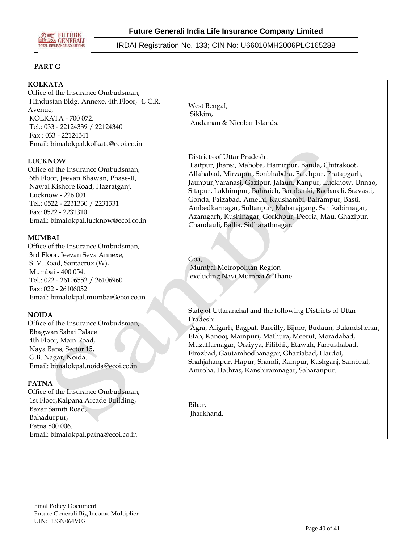

IRDAI Registration No. 133; CIN No: U66010MH2006PLC165288

# **PART G**

| <b>KOLKATA</b><br>Office of the Insurance Ombudsman,<br>Hindustan Bldg. Annexe, 4th Floor, 4, C.R.<br>Avenue,<br>KOLKATA - 700 072.<br>Tel.: 033 - 22124339 / 22124340<br>Fax: 033 - 22124341<br>Email: bimalokpal.kolkata@ecoi.co.in                 | West Bengal,<br>Sikkim,<br>Andaman & Nicobar Islands.                                                                                                                                                                                                                                                                                                                                                                                                                                             |
|-------------------------------------------------------------------------------------------------------------------------------------------------------------------------------------------------------------------------------------------------------|---------------------------------------------------------------------------------------------------------------------------------------------------------------------------------------------------------------------------------------------------------------------------------------------------------------------------------------------------------------------------------------------------------------------------------------------------------------------------------------------------|
| <b>LUCKNOW</b><br>Office of the Insurance Ombudsman,<br>6th Floor, Jeevan Bhawan, Phase-II,<br>Nawal Kishore Road, Hazratganj,<br>Lucknow - 226 001.<br>Tel.: 0522 - 2231330 / 2231331<br>Fax: 0522 - 2231310<br>Email: bimalokpal.lucknow@ecoi.co.in | Districts of Uttar Pradesh:<br>Laitpur, Jhansi, Mahoba, Hamirpur, Banda, Chitrakoot,<br>Allahabad, Mirzapur, Sonbhabdra, Fatehpur, Pratapgarh,<br>Jaunpur, Varanasi, Gazipur, Jalaun, Kanpur, Lucknow, Unnao,<br>Sitapur, Lakhimpur, Bahraich, Barabanki, Raebareli, Sravasti,<br>Gonda, Faizabad, Amethi, Kaushambi, Balrampur, Basti,<br>Ambedkarnagar, Sultanpur, Maharajgang, Santkabirnagar,<br>Azamgarh, Kushinagar, Gorkhpur, Deoria, Mau, Ghazipur,<br>Chandauli, Ballia, Sidharathnagar. |
| <b>MUMBAI</b><br>Office of the Insurance Ombudsman,<br>3rd Floor, Jeevan Seva Annexe,<br>S. V. Road, Santacruz (W),<br>Mumbai - 400 054.<br>Tel.: 022 - 26106552 / 26106960<br>Fax: 022 - 26106052<br>Email: bimalokpal.mumbai@ecoi.co.in             | Goa,<br>Mumbai Metropolitan Region<br>excluding Navi Mumbai & Thane.                                                                                                                                                                                                                                                                                                                                                                                                                              |
| <b>NOIDA</b><br>Office of the Insurance Ombudsman,<br>Bhagwan Sahai Palace<br>4th Floor, Main Road,<br>Naya Bans, Sector 15,<br>G.B. Nagar, Noida.<br>Email: bimalokpal.noida@ecoi.co.in                                                              | State of Uttaranchal and the following Districts of Uttar<br>Pradesh:<br>Agra, Aligarh, Bagpat, Bareilly, Bijnor, Budaun, Bulandshehar,<br>Etah, Kanooj, Mainpuri, Mathura, Meerut, Moradabad,<br>Muzaffarnagar, Oraiyya, Pilibhit, Etawah, Farrukhabad,<br>Firozbad, Gautambodhanagar, Ghaziabad, Hardoi,<br>Shahjahanpur, Hapur, Shamli, Rampur, Kashganj, Sambhal,<br>Amroha, Hathras, Kanshiramnagar, Saharanpur.                                                                             |
| <b>PATNA</b><br>Office of the Insurance Ombudsman,<br>1st Floor, Kalpana Arcade Building,<br>Bazar Samiti Road,<br>Bahadurpur,<br>Patna 800 006.<br>Email: bimalokpal.patna@ecoi.co.in                                                                | Bihar,<br>Jharkhand.                                                                                                                                                                                                                                                                                                                                                                                                                                                                              |